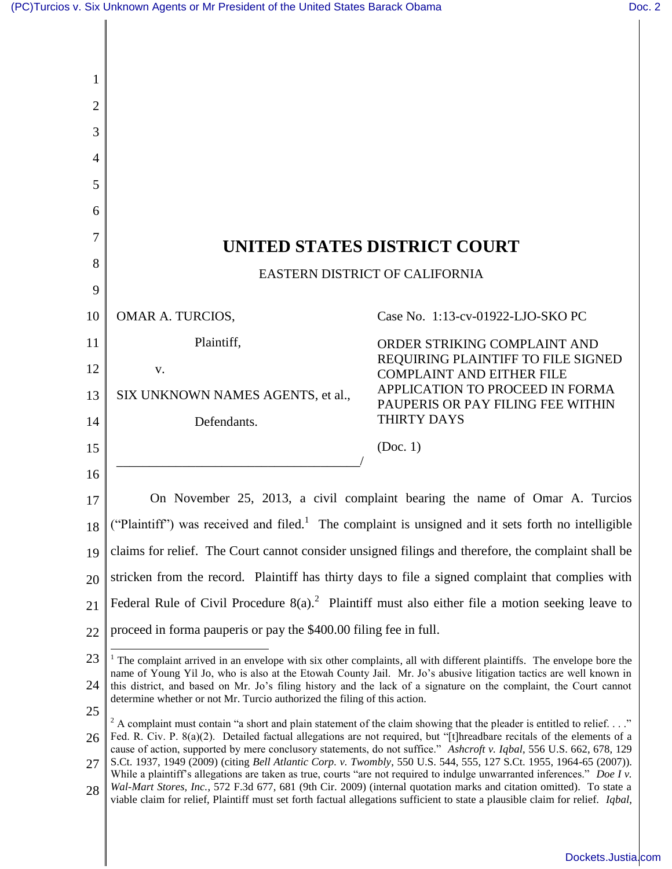| 1  |                                                                                                                                                                                                                                                                                                                                                                                                                                                                                                                                                                                                                                        |                                                                                                                                                                                                                                                        |
|----|----------------------------------------------------------------------------------------------------------------------------------------------------------------------------------------------------------------------------------------------------------------------------------------------------------------------------------------------------------------------------------------------------------------------------------------------------------------------------------------------------------------------------------------------------------------------------------------------------------------------------------------|--------------------------------------------------------------------------------------------------------------------------------------------------------------------------------------------------------------------------------------------------------|
| 2  |                                                                                                                                                                                                                                                                                                                                                                                                                                                                                                                                                                                                                                        |                                                                                                                                                                                                                                                        |
| 3  |                                                                                                                                                                                                                                                                                                                                                                                                                                                                                                                                                                                                                                        |                                                                                                                                                                                                                                                        |
| 4  |                                                                                                                                                                                                                                                                                                                                                                                                                                                                                                                                                                                                                                        |                                                                                                                                                                                                                                                        |
| 5  |                                                                                                                                                                                                                                                                                                                                                                                                                                                                                                                                                                                                                                        |                                                                                                                                                                                                                                                        |
| 6  |                                                                                                                                                                                                                                                                                                                                                                                                                                                                                                                                                                                                                                        |                                                                                                                                                                                                                                                        |
| 7  |                                                                                                                                                                                                                                                                                                                                                                                                                                                                                                                                                                                                                                        | UNITED STATES DISTRICT COURT                                                                                                                                                                                                                           |
| 8  | EASTERN DISTRICT OF CALIFORNIA                                                                                                                                                                                                                                                                                                                                                                                                                                                                                                                                                                                                         |                                                                                                                                                                                                                                                        |
| 9  |                                                                                                                                                                                                                                                                                                                                                                                                                                                                                                                                                                                                                                        |                                                                                                                                                                                                                                                        |
| 10 | OMAR A. TURCIOS,                                                                                                                                                                                                                                                                                                                                                                                                                                                                                                                                                                                                                       | Case No. 1:13-cv-01922-LJO-SKO PC                                                                                                                                                                                                                      |
| 11 | Plaintiff,                                                                                                                                                                                                                                                                                                                                                                                                                                                                                                                                                                                                                             | ORDER STRIKING COMPLAINT AND                                                                                                                                                                                                                           |
| 12 | V.                                                                                                                                                                                                                                                                                                                                                                                                                                                                                                                                                                                                                                     | REQUIRING PLAINTIFF TO FILE SIGNED<br><b>COMPLAINT AND EITHER FILE</b>                                                                                                                                                                                 |
| 13 | SIX UNKNOWN NAMES AGENTS, et al.,                                                                                                                                                                                                                                                                                                                                                                                                                                                                                                                                                                                                      | APPLICATION TO PROCEED IN FORMA<br>PAUPERIS OR PAY FILING FEE WITHIN                                                                                                                                                                                   |
| 14 | Defendants.                                                                                                                                                                                                                                                                                                                                                                                                                                                                                                                                                                                                                            | THIRTY DAYS                                                                                                                                                                                                                                            |
| 15 |                                                                                                                                                                                                                                                                                                                                                                                                                                                                                                                                                                                                                                        | (Doc. 1)                                                                                                                                                                                                                                               |
| 16 |                                                                                                                                                                                                                                                                                                                                                                                                                                                                                                                                                                                                                                        |                                                                                                                                                                                                                                                        |
| 17 | On November 25, 2013, a civil complaint bearing the name of Omar A. Turcios                                                                                                                                                                                                                                                                                                                                                                                                                                                                                                                                                            |                                                                                                                                                                                                                                                        |
| 18 | ("Plaintiff") was received and filed. <sup>1</sup> The complaint is unsigned and it sets forth no intelligible                                                                                                                                                                                                                                                                                                                                                                                                                                                                                                                         |                                                                                                                                                                                                                                                        |
| 19 | claims for relief. The Court cannot consider unsigned filings and therefore, the complaint shall be                                                                                                                                                                                                                                                                                                                                                                                                                                                                                                                                    |                                                                                                                                                                                                                                                        |
| 20 | stricken from the record. Plaintiff has thirty days to file a signed complaint that complies with                                                                                                                                                                                                                                                                                                                                                                                                                                                                                                                                      |                                                                                                                                                                                                                                                        |
| 21 | Federal Rule of Civil Procedure $8(a)$ . <sup>2</sup> Plaintiff must also either file a motion seeking leave to                                                                                                                                                                                                                                                                                                                                                                                                                                                                                                                        |                                                                                                                                                                                                                                                        |
| 22 | proceed in forma pauperis or pay the \$400.00 filing fee in full.                                                                                                                                                                                                                                                                                                                                                                                                                                                                                                                                                                      |                                                                                                                                                                                                                                                        |
| 23 | $1$ The complaint arrived in an envelope with six other complaints, all with different plaintiffs. The envelope bore the<br>name of Young Yil Jo, who is also at the Etowah County Jail. Mr. Jo's abusive litigation tactics are well known in<br>this district, and based on Mr. Jo's filing history and the lack of a signature on the complaint, the Court cannot<br>determine whether or not Mr. Turcio authorized the filing of this action.                                                                                                                                                                                      |                                                                                                                                                                                                                                                        |
| 24 |                                                                                                                                                                                                                                                                                                                                                                                                                                                                                                                                                                                                                                        |                                                                                                                                                                                                                                                        |
| 25 |                                                                                                                                                                                                                                                                                                                                                                                                                                                                                                                                                                                                                                        |                                                                                                                                                                                                                                                        |
| 26 | <sup>2</sup> A complaint must contain "a short and plain statement of the claim showing that the pleader is entitled to relief."<br>Fed. R. Civ. P. 8(a)(2). Detailed factual allegations are not required, but "[t]hreadbare recitals of the elements of a<br>cause of action, supported by mere conclusory statements, do not suffice." Ashcroft v. Iqbal, 556 U.S. 662, 678, 129<br>S.Ct. 1937, 1949 (2009) (citing Bell Atlantic Corp. v. Twombly, 550 U.S. 544, 555, 127 S.Ct. 1955, 1964-65 (2007)).<br>While a plaintiff's allegations are taken as true, courts "are not required to indulge unwarranted inferences." Doe I v. |                                                                                                                                                                                                                                                        |
| 27 |                                                                                                                                                                                                                                                                                                                                                                                                                                                                                                                                                                                                                                        |                                                                                                                                                                                                                                                        |
| 28 |                                                                                                                                                                                                                                                                                                                                                                                                                                                                                                                                                                                                                                        | Wal-Mart Stores, Inc., 572 F.3d 677, 681 (9th Cir. 2009) (internal quotation marks and citation omitted). To state a<br>viable claim for relief, Plaintiff must set forth factual allegations sufficient to state a plausible claim for relief. Iqbal, |
|    |                                                                                                                                                                                                                                                                                                                                                                                                                                                                                                                                                                                                                                        |                                                                                                                                                                                                                                                        |